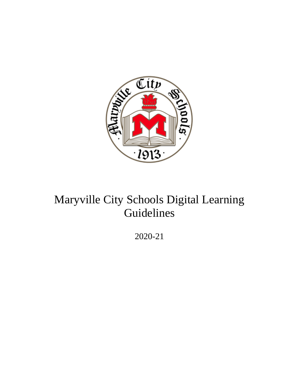

# Maryville City Schools Digital Learning Guidelines

2020-21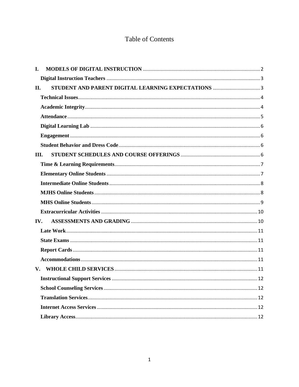# **Table of Contents**

| L.   |  |
|------|--|
|      |  |
| П.   |  |
|      |  |
|      |  |
|      |  |
|      |  |
|      |  |
|      |  |
| III. |  |
|      |  |
|      |  |
|      |  |
|      |  |
|      |  |
|      |  |
| IV.  |  |
|      |  |
|      |  |
|      |  |
|      |  |
|      |  |
|      |  |
|      |  |
|      |  |
|      |  |
|      |  |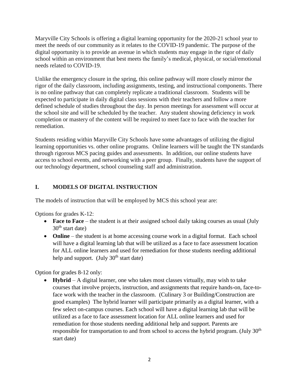Maryville City Schools is offering a digital learning opportunity for the 2020-21 school year to meet the needs of our community as it relates to the COVID-19 pandemic. The purpose of the digital opportunity is to provide an avenue in which students may engage in the rigor of daily school within an environment that best meets the family's medical, physical, or social/emotional needs related to COVID-19.

Unlike the emergency closure in the spring, this online pathway will more closely mirror the rigor of the daily classroom, including assignments, testing, and instructional components. There is no online pathway that can completely replicate a traditional classroom. Students will be expected to participate in daily digital class sessions with their teachers and follow a more defined schedule of studies throughout the day. In person meetings for assessment will occur at the school site and will be scheduled by the teacher. Any student showing deficiency in work completion or mastery of the content will be required to meet face to face with the teacher for remediation.

Students residing within Maryville City Schools have some advantages of utilizing the digital learning opportunities vs. other online programs. Online learners will be taught the TN standards through rigorous MCS pacing guides and assessments. In addition, our online students have access to school events, and networking with a peer group. Finally, students have the support of our technology department, school counseling staff and administration.

# <span id="page-2-0"></span>**I. MODELS OF DIGITAL INSTRUCTION**

The models of instruction that will be employed by MCS this school year are:

Options for grades K-12:

- **Face to Face** the student is at their assigned school daily taking courses as usual (July  $30<sup>th</sup>$  start date)
- **Online** the student is at home accessing course work in a digital format. Each school will have a digital learning lab that will be utilized as a face to face assessment location for ALL online learners and used for remediation for those students needing additional help and support. (July  $30<sup>th</sup>$  start date)

Option for grades 8-12 only:

 **Hybrid** – A digital learner, one who takes most classes virtually, may wish to take courses that involve projects, instruction, and assignments that require hands-on, face-toface work with the teacher in the classroom. (Culinary 3 or Building/Construction are good examples) The hybrid learner will participate primarily as a digital learner, with a few select on-campus courses. Each school will have a digital learning lab that will be utilized as a face to face assessment location for ALL online learners and used for remediation for those students needing additional help and support. Parents are responsible for transportation to and from school to access the hybrid program. (July  $30<sup>th</sup>$ start date)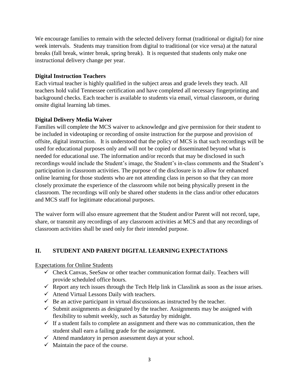We encourage families to remain with the selected delivery format (traditional or digital) for nine week intervals. Students may transition from digital to traditional (or vice versa) at the natural breaks (fall break, winter break, spring break). It is requested that students only make one instructional delivery change per year.

#### <span id="page-3-0"></span>**Digital Instruction Teachers**

Each virtual teacher is highly qualified in the subject areas and grade levels they teach. All teachers hold valid Tennessee certification and have completed all necessary fingerprinting and background checks. Each teacher is available to students via email, virtual classroom, or during onsite digital learning lab times.

## **Digital Delivery Media Waiver**

Families will complete the MCS waiver to acknowledge and give permission for their student to be included in videotaping or recording of onsite instruction for the purpose and provision of offsite, digital instruction. It is understood that the policy of MCS is that such recordings will be used for educational purposes only and will not be copied or disseminated beyond what is needed for educational use. The information and/or records that may be disclosed in such recordings would include the Student's image, the Student's in-class comments and the Student's participation in classroom activities. The purpose of the disclosure is to allow for enhanced online learning for those students who are not attending class in person so that they can more closely proximate the experience of the classroom while not being physically present in the classroom. The recordings will only be shared other students in the class and/or other educators and MCS staff for legitimate educational purposes.

The waiver form will also ensure agreement that the Student and/or Parent will not record, tape, share, or transmit any recordings of any classroom activities at MCS and that any recordings of classroom activities shall be used only for their intended purpose.

## <span id="page-3-1"></span>**II. STUDENT AND PARENT DIGITAL LEARNING EXPECTATIONS**

Expectations for Online Students

- $\checkmark$  Check Canvas, SeeSaw or other teacher communication format daily. Teachers will provide scheduled office hours.
- $\checkmark$  Report any tech issues through the Tech Help link in Classlink as soon as the issue arises.
- $\checkmark$  Attend Virtual Lessons Daily with teachers.
- $\checkmark$  Be an active participant in virtual discussions as instructed by the teacher.
- $\checkmark$  Submit assignments as designated by the teacher. Assignments may be assigned with flexibility to submit weekly, such as Saturday by midnight.
- $\checkmark$  If a student fails to complete an assignment and there was no communication, then the student shall earn a failing grade for the assignment.
- $\checkmark$  Attend mandatory in person assessment days at your school.
- $\checkmark$  Maintain the pace of the course.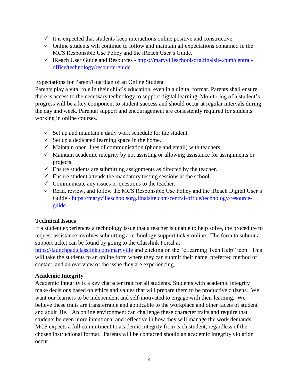- $\checkmark$  It is expected that students keep interactions online positive and constructive.
- $\checkmark$  Online students will continue to follow and maintain all expectations contained in the MCS Responsible Use Policy and the iReach User's Guide.
- $\checkmark$  iReach User Guide and Resources [https://maryvilleschoolsorg.finalsite.com/central](https://maryvilleschoolsorg.finalsite.com/central-office/technology/resource-guide)[office/technology/resource-guide](https://maryvilleschoolsorg.finalsite.com/central-office/technology/resource-guide)

# Expectations for Parent/Guardian of an Online Student

Parents play a vital role in their child's education, even in a digital format. Parents shall ensure there is access to the necessary technology to support digital learning. Monitoring of a student's progress will be a key component to student success and should occur at regular intervals during the day and week. Parental support and encouragement are consistently required for students working in online courses.

- $\checkmark$  Set up and maintain a daily work schedule for the student.
- $\checkmark$  Set up a dedicated learning space in the home.
- $\checkmark$  Maintain open lines of communication (phone and email) with teachers.
- $\checkmark$  Maintain academic integrity by not assisting or allowing assistance for assignments or projects.
- $\checkmark$  Ensure students are submitting assignments as directed by the teacher.
- $\checkmark$  Ensure student attends the mandatory testing sessions at the school.
- $\checkmark$  Communicate any issues or questions to the teacher.
- $\checkmark$  Read, review, and follow the MCS Responsible Use Policy and the iReach Digital User's Guide - [https://maryvilleschoolsorg.finalsite.com/central-office/technology/resource](https://maryvilleschoolsorg.finalsite.com/central-office/technology/resource-guide)[guide](https://maryvilleschoolsorg.finalsite.com/central-office/technology/resource-guide)

# <span id="page-4-0"></span>**Technical Issues**

If a student experiences a technology issue that a teacher is unable to help solve, the procedure to request assistance involves submitting a technology support ticket online. The form to submit a support ticket can be found by going to the Classlink Portal at

<https://launchpad.classlink.com/maryville> and clicking on the "eLearning Tech Help" icon. This will take the students to an online form where they can submit their name, preferred method of contact, and an overview of the issue they are experiencing.

# <span id="page-4-1"></span>**Academic Integrity**

Academic Integrity is a key character trait for all students. Students with academic integrity make decisions based on ethics and values that will prepare them to be productive citizens. We want our learners to be independent and self-motivated to engage with their learning. We believe these traits are transferrable and applicable to the workplace and other facets of student and adult life. An online environment can challenge these character traits and require that students be even more intentional and reflective in how they will manage the work demands. MCS expects a full commitment to academic integrity from each student, regardless of the chosen instructional format. Parents will be contacted should an academic integrity violation occur.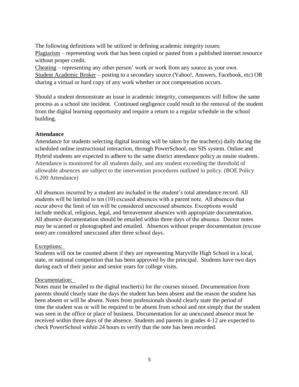The following definitions will be utilized in defining academic integrity issues: Plagiarism – representing work that has been copied or pasted from a published internet resource without proper credit.

Cheating – representing any other person' work or work from any source as your own. Student Academic Broker – posting to a secondary source (Yahoo!, Answers, Facebook, etc) OR sharing a virtual or hard copy of any work whether or not compensation occurs.

Should a student demonstrate an issue in academic integrity, consequences will follow the same process as a school site incident. Continued negligence could result in the removal of the student from the digital learning opportunity and require a return to a regular schedule in the school building.

#### <span id="page-5-0"></span>**Attendance**

Attendance for students selecting digital learning will be taken by the teacher(s) daily during the scheduled online instructional interaction, through PowerSchool, our SIS system. Online and Hybrid students are expected to adhere to the same district attendance policy as onsite students. Attendance is monitored for all students daily, and any student exceeding the threshold of allowable absences are subject to the intervention procedures outlined in policy. (BOE Policy 6.200 Attendance)

All absences incurred by a student are included in the student's total attendance record. All students will be limited to ten (10) excused absences with a parent note.  All absences that occur above the limit of ten will be considered unexcused absences. Exceptions would include medical, religious, legal, and bereavement absences with appropriate documentation. All absence documentation should be emailed within three days of the absence.  Doctor notes may be scanned or photographed and emailed. Absences without proper documentation (excuse note) are considered unexcused after three school days.

#### Exceptions:

Students will not be counted absent if they are representing Maryville High School in a local, state, or national competition that has been approved by the principal. Students have two days during each of their junior and senior years for college visits.

#### Documentation:

Notes must be emailed to the digital teacher(s) for the courses missed. Documentation from parents should clearly state the days the student has been absent and the reason the student has been absent or will be absent. Notes from professionals should clearly state the period of time the student was or will be required to be absent from school and not simply that the student was seen in the office or place of business. Documentation for an unexcused absence must be received within three days of the absence. Students and parents in grades 4-12 are expected to check PowerSchool within 24 hours to verify that the note has been recorded.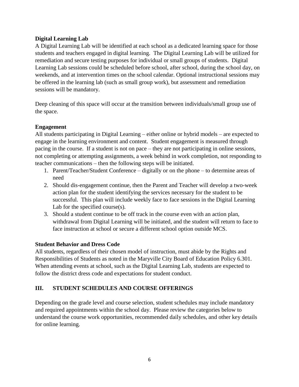## <span id="page-6-0"></span>**Digital Learning Lab**

A Digital Learning Lab will be identified at each school as a dedicated learning space for those students and teachers engaged in digital learning. The Digital Learning Lab will be utilized for remediation and secure testing purposes for individual or small groups of students. Digital Learning Lab sessions could be scheduled before school, after school, during the school day, on weekends, and at intervention times on the school calendar. Optional instructional sessions may be offered in the learning lab (such as small group work), but assessment and remediation sessions will be mandatory.

Deep cleaning of this space will occur at the transition between individuals/small group use of the space.

# <span id="page-6-1"></span>**Engagement**

All students participating in Digital Learning – either online or hybrid models – are expected to engage in the learning environment and content. Student engagement is measured through pacing in the course. If a student is not on pace – they are not participating in online sessions, not completing or attempting assignments, a week behind in work completion, not responding to teacher communications – then the following steps will be initiated.

- 1. Parent/Teacher/Student Conference digitally or on the phone to determine areas of need
- 2. Should dis-engagement continue, then the Parent and Teacher will develop a two-week action plan for the student identifying the services necessary for the student to be successful. This plan will include weekly face to face sessions in the Digital Learning Lab for the specified course(s).
- 3. Should a student continue to be off track in the course even with an action plan, withdrawal from Digital Learning will be initiated, and the student will return to face to face instruction at school or secure a different school option outside MCS.

# <span id="page-6-2"></span>**Student Behavior and Dress Code**

All students, regardless of their chosen model of instruction, must abide by the Rights and Responsibilities of Students as noted in the Maryville City Board of Education Policy 6.301. When attending events at school, such as the Digital Learning Lab, students are expected to follow the district dress code and expectations for student conduct.

# <span id="page-6-3"></span>**III. STUDENT SCHEDULES AND COURSE OFFERINGS**

Depending on the grade level and course selection, student schedules may include mandatory and required appointments within the school day. Please review the categories below to understand the course work opportunities, recommended daily schedules, and other key details for online learning.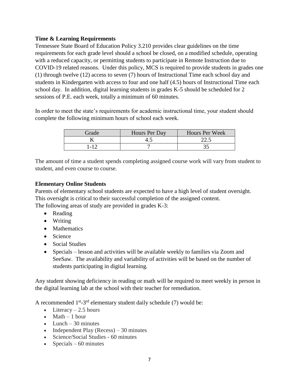## <span id="page-7-0"></span>**Time & Learning Requirements**

Tennessee State Board of Education Policy 3.210 provides clear guidelines on the time requirements for each grade level should a school be closed, on a modified schedule, operating with a reduced capacity, or permitting students to participate in Remote Instruction due to COVID-19 related reasons. Under this policy, MCS is required to provide students in grades one (1) through twelve (12) access to seven (7) hours of Instructional Time each school day and students in Kindergarten with access to four and one half (4.5) hours of Instructional Time each school day. In addition, digital learning students in grades K-5 should be scheduled for 2 sessions of P.E. each week, totally a minimum of 60 minutes.

In order to meet the state's requirements for academic instructional time, your student should complete the following minimum hours of school each week.

| Grade | Hours Per Day | Hours Per Week |
|-------|---------------|----------------|
|       |               | ت کے ک         |
|       |               |                |

The amount of time a student spends completing assigned course work will vary from student to student, and even course to course.

# <span id="page-7-1"></span>**Elementary Online Students**

Parents of elementary school students are expected to have a high level of student oversight. This oversight is critical to their successful completion of the assigned content. The following areas of study are provided in grades K-3:

- Reading
- Writing
- Mathematics
- Science
- Social Studies
- Specials lesson and activities will be available weekly to families via Zoom and SeeSaw. The availability and variability of activities will be based on the number of students participating in digital learning.

Any student showing deficiency in reading or math will be required to meet weekly in person in the digital learning lab at the school with their teacher for remediation.

A recommended  $1<sup>st</sup> - 3<sup>rd</sup>$  elementary student daily schedule (7) would be:

- Literacy  $-2.5$  hours
- $\bullet$  Math  $-1$  hour
- $\bullet$  Lunch 30 minutes
- Independent Play (Recess)  $-30$  minutes
- Science/Social Studies 60 minutes
- Specials 60 minutes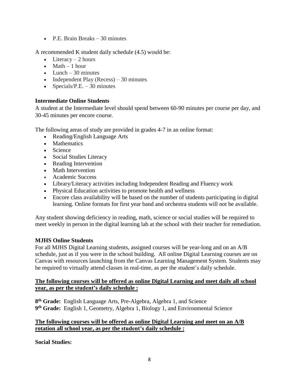P.E. Brain Breaks – 30 minutes

A recommended K student daily schedule (4.5) would be:

- $\bullet$  Literacy 2 hours
- $\bullet$  Math  $-1$  hour
- $\bullet$  Lunch 30 minutes
- Independent Play (Recess)  $-30$  minutes
- Specials/P.E.  $-30$  minutes

## <span id="page-8-0"></span>**Intermediate Online Students**

A student at the Intermediate level should spend between 60-90 minutes per course per day, and 30-45 minutes per encore course.

The following areas of study are provided in grades 4-7 in an online format:

- Reading/English Language Arts
- Mathematics
- Science
- Social Studies Literacy
- Reading Intervention
- Math Intervention
- Academic Success
- Library/Literacy activities including Independent Reading and Fluency work
- Physical Education activities to promote health and wellness
- Encore class availability will be based on the number of students participating in digital learning. Online formats for first year band and orchestra students will not be available.

Any student showing deficiency in reading, math, science or social studies will be required to meet weekly in person in the digital learning lab at the school with their teacher for remediation.

#### <span id="page-8-1"></span>**MJHS Online Students**

For all MJHS Digital Learning students, assigned courses will be year-long and on an A/B schedule, just as if you were in the school building. All online Digital Learning courses are on Canvas with resources launching from the Canvas Learning Management System. Students may be required to virtually attend classes in real-time, as per the student's daily schedule.

#### **The following courses will be offered as online Digital Learning and meet daily all school year, as per the student's daily schedule :**

**8 th Grade:** English Language Arts, Pre-Algebra, Algebra 1, and Science **9 th Grade:** English 1, Geometry, Algebra 1, Biology 1, and Environmental Science

#### **The following courses will be offered as online Digital Learning and meet on an A/B rotation all school year, as per the student's daily schedule :**

**Social Studies:**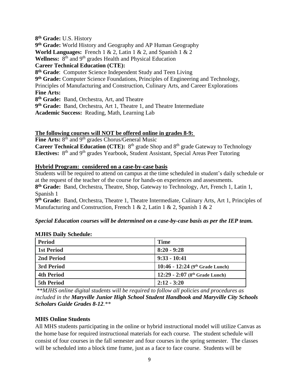**8 th Grade:** U.S. History **9 th Grade:** World History and Geography and AP Human Geography **World Languages:** French 1 & 2, Latin 1 & 2, and Spanish 1 & 2 Wellness: 8<sup>th</sup> and 9<sup>th</sup> grades Health and Physical Education **Career Technical Education (CTE): 8 th Grade**: Computer Science Independent Study and Teen Living **9 th Grade:** Computer Science Foundations, Principles of Engineering and Technology, Principles of Manufacturing and Construction, Culinary Arts, and Career Explorations **Fine Arts: 8 th Grade:** Band, Orchestra, Art, and Theatre **9 th Grade:** Band, Orchestra, Art 1, Theatre 1, and Theatre Intermediate **Academic Success:** Reading, Math, Learning Lab

#### **The following courses will NOT be offered online in grades 8-9:**

Fine Arts: 8<sup>th</sup> and 9<sup>th</sup> grades Chorus/General Music **Career Technical Education (CTE):** 8<sup>th</sup> grade Shop and 8<sup>th</sup> grade Gateway to Technology Electives: 8<sup>th</sup> and 9<sup>th</sup> grades Yearbook, Student Assistant, Special Areas Peer Tutoring

#### **Hybrid Program: considered on a case-by-case basis**

Students will be required to attend on campus at the time scheduled in student's daily schedule or at the request of the teacher of the course for hands-on experiences and assessments. **8 th Grade:** Band, Orchestra, Theatre, Shop, Gateway to Technology, Art, French 1, Latin 1, Spanish 1

**9 th Grade:** Band, Orchestra, Theatre 1, Theatre Intermediate, Culinary Arts, Art 1, Principles of Manufacturing and Construction, French 1 & 2, Latin 1 & 2, Spanish 1 & 2

#### *Special Education courses will be determined on a case-by-case basis as per the IEP team.*

#### **MJHS Daily Schedule:**

| <b>Period</b>     | <b>Time</b>                       |
|-------------------|-----------------------------------|
| <b>1st Period</b> | $8:20 - 9:28$                     |
| 2nd Period        | $9:33 - 10:41$                    |
| 3rd Period        | 10:46 - 12:24 (9th Grade Lunch)   |
| <b>4th Period</b> | 12:29 - 2:07 ( $8th$ Grade Lunch) |
| <b>5th Period</b> | $2:12 - 3:20$                     |

*\*\*MJHS online digital students will be required to follow all policies and procedures as included in the Maryville Junior High School Student Handbook and Maryville City Schools Scholars Guide Grades 8-12.\*\**

#### <span id="page-9-0"></span>**MHS Online Students**

All MHS students participating in the online or hybrid instructional model will utilize Canvas as the home base for required instructional materials for each course. The student schedule will consist of four courses in the fall semester and four courses in the spring semester. The classes will be scheduled into a block time frame, just as a face to face course. Students will be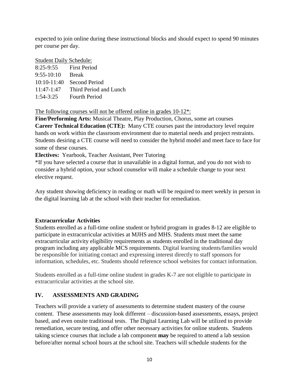expected to join online during these instructional blocks and should expect to spend 90 minutes per course per day.

Student Daily Schedule:

| $8:25-9:55$   | First Period           |
|---------------|------------------------|
| $9:55-10:10$  | <b>Break</b>           |
| $10:10-11:40$ | Second Period          |
| $11:47-1:47$  | Third Period and Lunch |
| $1:54-3:25$   | <b>Fourth Period</b>   |

The following courses will not be offered online in grades 10-12\*:

**Fine/Performing Arts:** Musical Theatre, Play Production, Chorus, some art courses **Career Technical Education (CTE):** Many CTE courses past the introductory level require hands on work within the classroom environment due to material needs and project restraints. Students desiring a CTE course will need to consider the hybrid model and meet face to face for some of these courses.

**Electives:** Yearbook, Teacher Assistant, Peer Tutoring

\*If you have selected a course that in unavailable in a digital format, and you do not wish to consider a hybrid option, your school counselor will make a schedule change to your next elective request.

Any student showing deficiency in reading or math will be required to meet weekly in person in the digital learning lab at the school with their teacher for remediation.

# <span id="page-10-0"></span>**Extracurricular Activities**

Students enrolled as a full-time online student or hybrid program in grades 8-12 are eligible to participate in extracurricular activities at MJHS and MHS. Students must meet the same extracurricular activity eligibility requirements as students enrolled in the traditional day program including any applicable MCS requirements. Digital learning students/families would be responsible for initiating contact and expressing interest directly to staff sponsors for information, schedules, etc. Students should reference school websites for contact information.

Students enrolled as a full-time online student in grades K-7 are not eligible to participate in extracurricular activities at the school site.

# <span id="page-10-1"></span>**IV. ASSESSMENTS AND GRADING**

Teachers will provide a variety of assessments to determine student mastery of the course content. These assessments may look different – discussion-based assessments, essays, project based, and even onsite traditional tests. The Digital Learning Lab will be utilized to provide remediation, secure testing, and offer other necessary activities for online students. Students taking science courses that include a lab component **may** be required to attend a lab session before/after normal school hours at the school site. Teachers will schedule students for the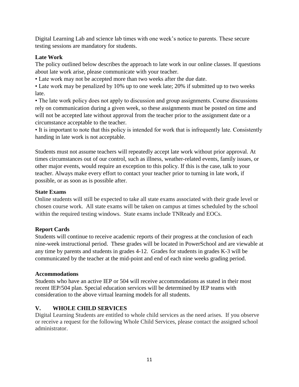Digital Learning Lab and science lab times with one week's notice to parents. These secure testing sessions are mandatory for students.

# <span id="page-11-0"></span>**Late Work**

The policy outlined below describes the approach to late work in our online classes. If questions about late work arise, please communicate with your teacher.

• Late work may not be accepted more than two weeks after the due date.

• Late work may be penalized by 10% up to one week late; 20% if submitted up to two weeks late.

• The late work policy does not apply to discussion and group assignments. Course discussions rely on communication during a given week, so these assignments must be posted on time and will not be accepted late without approval from the teacher prior to the assignment date or a circumstance acceptable to the teacher.

• It is important to note that this policy is intended for work that is infrequently late. Consistently handing in late work is not acceptable.

Students must not assume teachers will repeatedly accept late work without prior approval. At times circumstances out of our control, such as illness, weather-related events, family issues, or other major events, would require an exception to this policy. If this is the case, talk to your teacher. Always make every effort to contact your teacher prior to turning in late work, if possible, or as soon as is possible after.

## <span id="page-11-1"></span>**State Exams**

Online students will still be expected to take all state exams associated with their grade level or chosen course work. All state exams will be taken on campus at times scheduled by the school within the required testing windows. State exams include TNReady and EOCs.

# <span id="page-11-2"></span>**Report Cards**

Students will continue to receive academic reports of their progress at the conclusion of each nine-week instructional period. These grades will be located in PowerSchool and are viewable at any time by parents and students in grades 4-12. Grades for students in grades K-3 will be communicated by the teacher at the mid-point and end of each nine weeks grading period.

## <span id="page-11-3"></span>**Accommodations**

Students who have an active IEP or 504 will receive accommodations as stated in their most recent IEP/504 plan. Special education services will be determined by IEP teams with consideration to the above virtual learning models for all students.

# <span id="page-11-4"></span>**V. WHOLE CHILD SERVICES**

Digital Learning Students are entitled to whole child services as the need arises. If you observe or receive a request for the following Whole Child Services, please contact the assigned school administrator.